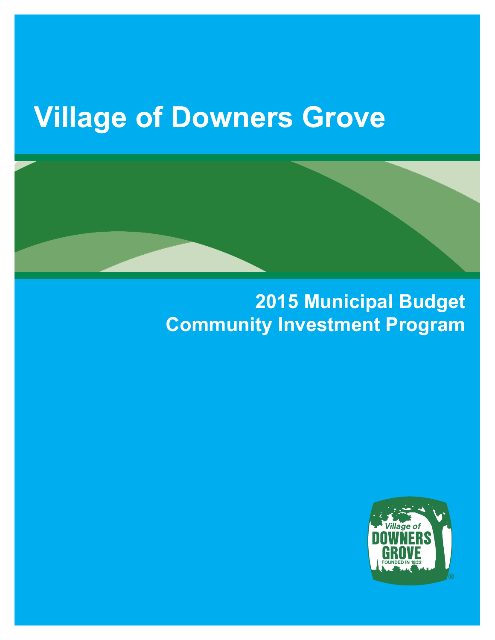#### **Village of Downers Grove**

#### **2015 Municipal Budget Community Investment Program**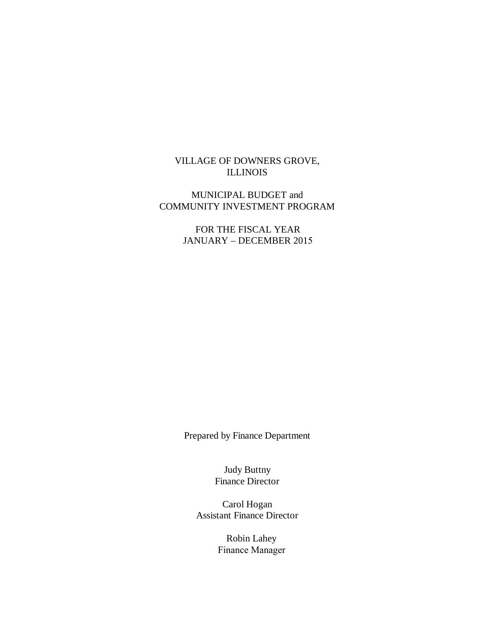#### VILLAGE OF DOWNERS GROVE, ILLINOIS

#### MUNICIPAL BUDGET and COMMUNITY INVESTMENT PROGRAM

FOR THE FISCAL YEAR JANUARY – DECEMBER 2015

Prepared by Finance Department

Judy Buttny Finance Director

Carol Hogan Assistant Finance Director

> Robin Lahey Finance Manager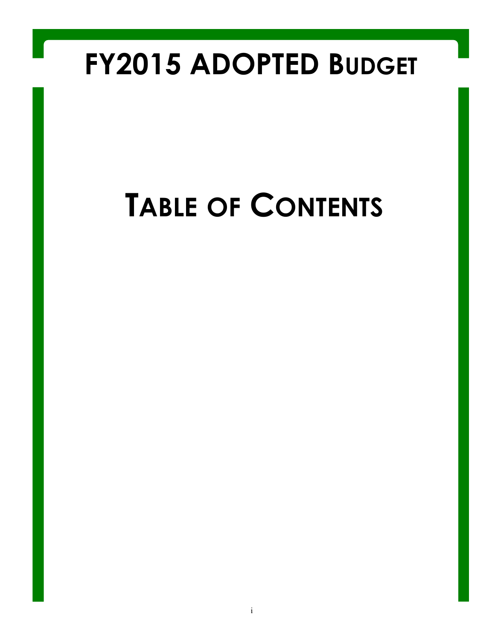### **FY2015 ADOPTED BUDGET**

# **TABLE OF CONTENTS**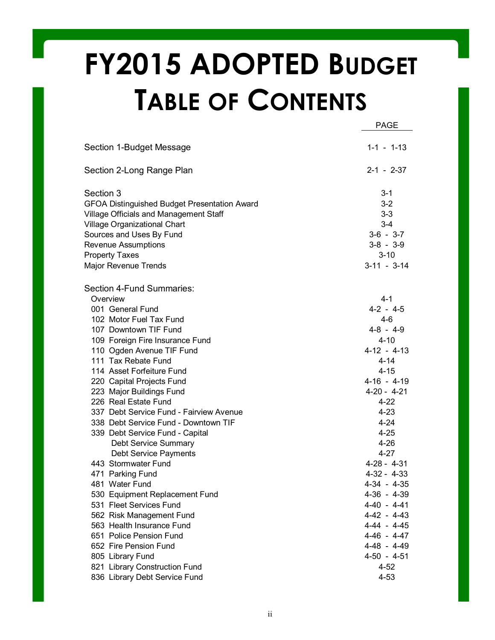## **FY2015 ADOPTED BUDGET TABLE OF CONTENTS**

|                                                     | <b>PAGE</b>      |
|-----------------------------------------------------|------------------|
| Section 1-Budget Message                            | $1 - 1 - 1 - 13$ |
| Section 2-Long Range Plan                           | $2 - 1 - 2 - 37$ |
| Section 3                                           | $3 - 1$          |
| <b>GFOA Distinguished Budget Presentation Award</b> | $3 - 2$          |
| Village Officials and Management Staff              | $3-3$            |
| Village Organizational Chart                        | $3 - 4$          |
| Sources and Uses By Fund                            | $3-6 - 3-7$      |
| <b>Revenue Assumptions</b>                          | $3-8 - 3-9$      |
| <b>Property Taxes</b>                               | $3 - 10$         |
| Major Revenue Trends                                | $3-11 - 3-14$    |
| Section 4-Fund Summaries:                           |                  |
| Overview                                            | 4-1              |
| 001 General Fund                                    | $4-2 - 4-5$      |
| 102 Motor Fuel Tax Fund                             | 4-6              |
| 107 Downtown TIF Fund                               | $4 - 8 - 4 - 9$  |
| 109 Foreign Fire Insurance Fund                     | $4 - 10$         |
| 110 Ogden Avenue TIF Fund                           | $4-12 - 4-13$    |
| 111 Tax Rebate Fund                                 | $4 - 14$         |
| 114 Asset Forfeiture Fund                           | $4 - 15$         |
| 220 Capital Projects Fund                           | $4-16 - 4-19$    |
| 223 Major Buildings Fund                            | $4-20 - 4-21$    |
| 226 Real Estate Fund                                | $4 - 22$         |
| 337 Debt Service Fund - Fairview Avenue             | 4-23             |
| 338 Debt Service Fund - Downtown TIF                | 4-24             |
| 339 Debt Service Fund - Capital                     | 4-25             |
| Debt Service Summary                                | $4 - 26$         |
| <b>Debt Service Payments</b>                        | 4-27             |
| 443 Stormwater Fund                                 | $4-28 - 4-31$    |
| 471 Parking Fund                                    | $4-32 - 4-33$    |
| 481 Water Fund                                      | $4-34 - 4-35$    |
| 530 Equipment Replacement Fund                      | $4-36 - 4-39$    |
| 531 Fleet Services Fund                             | $4-40 - 4-41$    |
| 562 Risk Management Fund                            | $4-42 - 4-43$    |
| 563 Health Insurance Fund                           | $4-44 - 4-45$    |
| 651 Police Pension Fund                             | $4-46 - 4-47$    |
| 652 Fire Pension Fund                               | 4-48 - 4-49      |
| 805 Library Fund                                    | $4-50 - 4-51$    |
| 821 Library Construction Fund                       | $4 - 52$         |
| 836 Library Debt Service Fund                       | $4 - 53$         |